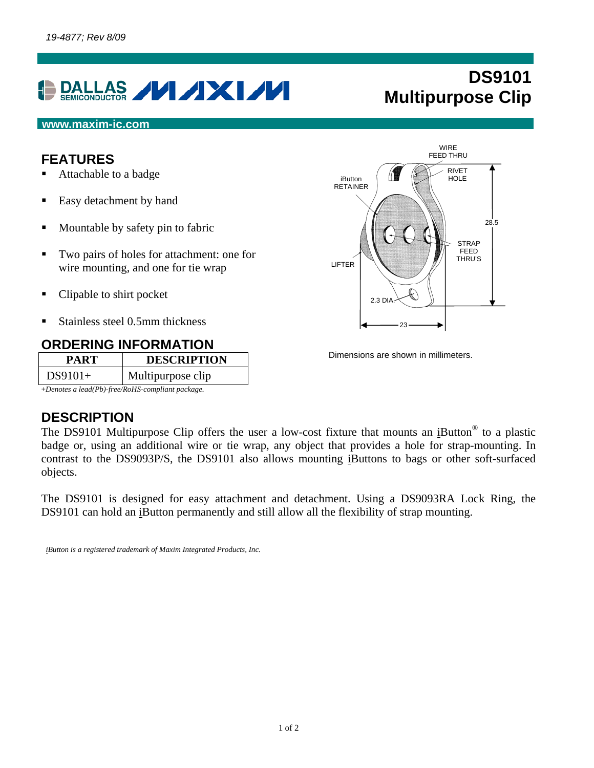

# **DS9101 Multipurpose Clip**

#### **www.maxim-ic.com**

### **FEATURES**

- Attachable to a badge
- Easy detachment by hand
- Mountable by safety pin to fabric
- Two pairs of holes for attachment: one for wire mounting, and one for tie wrap
- Clipable to shirt pocket
- Stainless steel 0.5mm thickness

### **ORDERING INFORMATION**

| PART                                                                                                                                                                                                                                                                                                        | <b>DESCRIPTION</b> |  |
|-------------------------------------------------------------------------------------------------------------------------------------------------------------------------------------------------------------------------------------------------------------------------------------------------------------|--------------------|--|
| $DS9101+$                                                                                                                                                                                                                                                                                                   | Multipurpose clip  |  |
| $\mathbf{r}$ , $\mathbf{r}$ , $\mathbf{r}$ , $\mathbf{r}$ , $\mathbf{r}$ , $\mathbf{r}$ , $\mathbf{r}$ , $\mathbf{r}$ , $\mathbf{r}$ , $\mathbf{r}$ , $\mathbf{r}$ , $\mathbf{r}$ , $\mathbf{r}$ , $\mathbf{r}$ , $\mathbf{r}$ , $\mathbf{r}$ , $\mathbf{r}$ , $\mathbf{r}$ , $\mathbf{r}$ , $\mathbf{r}$ , |                    |  |

+*Denotes a lead(Pb)-free/RoHS-compliant package.*

## **DESCRIPTION**

The DS9101 Multipurpose Clip offers the user a low-cost fixture that mounts an iButton<sup>®</sup> to a plastic badge or, using an additional wire or tie wrap, any object that provides a hole for strap-mounting. In contrast to the DS9093P/S, the DS9101 also allows mounting iButtons to bags or other soft-surfaced objects.

The DS9101 is designed for easy attachment and detachment. Using a DS9093RA Lock Ring, the DS9101 can hold an iButton permanently and still allow all the flexibility of strap mounting.

*iButton is a registered trademark of Maxim Integrated Products, Inc.* 



Dimensions are shown in millimeters.